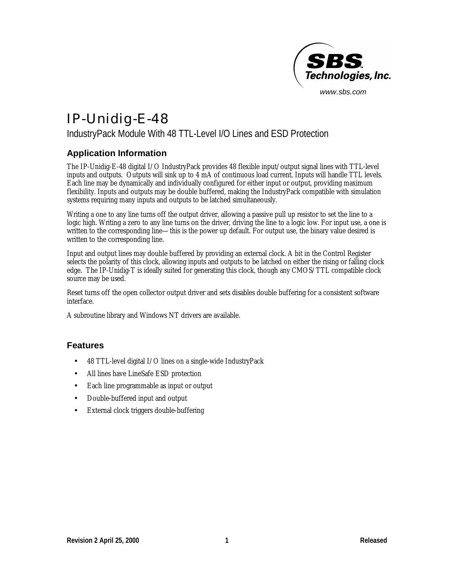

# IP-Unidig-E-48

## IndustryPack Module With 48 TTL-Level I/O Lines and ESD Protection

#### **Application Information**

The IP-Unidig-E-48 digital I/O IndustryPack provides 48 flexible input/output signal lines with TTL-level inputs and outputs. Outputs will sink up to 4 mA of continuous load current. Inputs will handle TTL levels. Each line may be dynamically and individually configured for either input or output, providing maximum flexibility. Inputs and outputs may be double buffered, making the IndustryPack compatible with simulation systems requiring many inputs and outputs to be latched simultaneously.

Writing a one to any line turns off the output driver, allowing a passive pull up resistor to set the line to a logic high. Writing a zero to any line turns on the driver, driving the line to a logic low. For input use, a one is written to the corresponding line— this is the power up default. For output use, the binary value desired is written to the corresponding line.

Input and output lines may double buffered by providing an external clock. A bit in the Control Register selects the polarity of this clock, allowing inputs and outputs to be latched on either the rising or falling clock edge. The IP-Unidig-T is ideally suited for generating this clock, though any CMOS/TTL compatible clock source may be used.

Reset turns off the open collector output driver and sets disables double buffering for a consistent software interface.

A subroutine library and Windows NT drivers are available.

#### **Features**

- 48 TTL-level digital I/O lines on a single-wide IndustryPack
- All lines have LineSafe ESD protection
- Each line programmable as input or output
- Double-buffered input and output
- External clock triggers double-buffering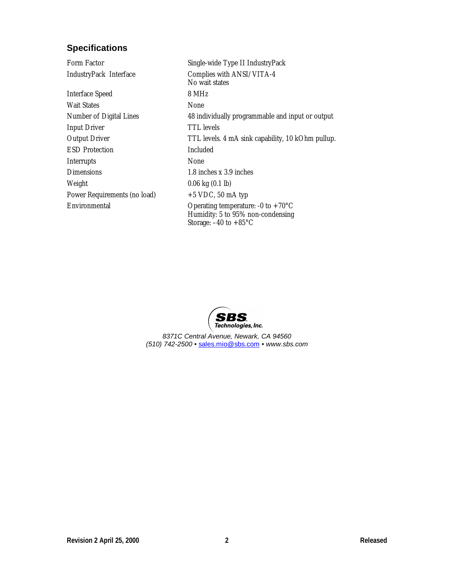# **Specifications**

| Form Factor                  | Single-wide Type II IndustryPack                                                                                        |
|------------------------------|-------------------------------------------------------------------------------------------------------------------------|
| IndustryPack Interface       | Complies with ANSI/VITA-4<br>No wait states                                                                             |
| <b>Interface Speed</b>       | 8 MHz                                                                                                                   |
| <b>Wait States</b>           | None                                                                                                                    |
| Number of Digital Lines      | 48 individually programmable and input or output                                                                        |
| <b>Input Driver</b>          | TTL levels                                                                                                              |
| <b>Output Driver</b>         | TTL levels. 4 mA sink capability, 10 kOhm pullup.                                                                       |
| <b>ESD</b> Protection        | Included                                                                                                                |
| Interrupts                   | None                                                                                                                    |
| <b>Dimensions</b>            | $1.8$ inches x $3.9$ inches                                                                                             |
| Weight                       | $0.06 \text{ kg} (0.1 \text{ lb})$                                                                                      |
| Power Requirements (no load) | $+5$ VDC, 50 mA typ                                                                                                     |
| Environmental                | Operating temperature: -0 to +70 $^{\circ}$ C<br>Humidity: 5 to 95% non-condensing<br>Storage: $-40$ to $+85^{\circ}$ C |



*8371C Central Avenue, Newark, CA 94560 (510) 742-2500 •* sales.mio@sbs.com *• www.sbs.com*